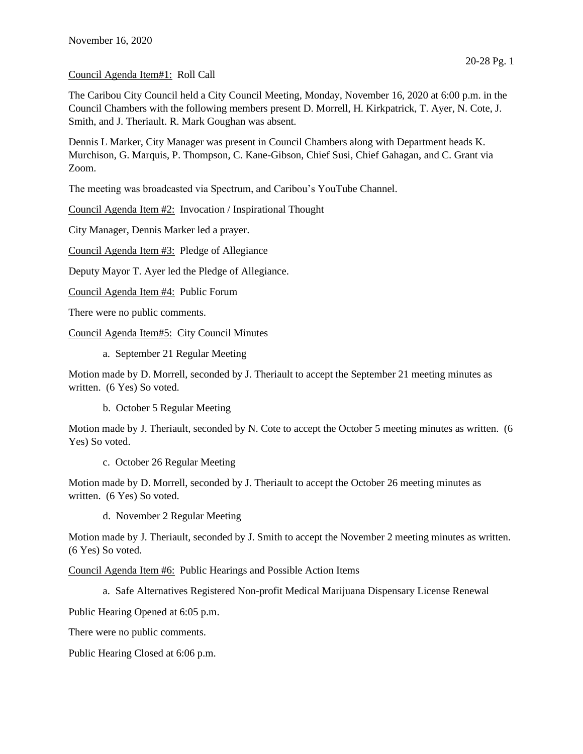## Council Agenda Item#1: Roll Call

The Caribou City Council held a City Council Meeting, Monday, November 16, 2020 at 6:00 p.m. in the Council Chambers with the following members present D. Morrell, H. Kirkpatrick, T. Ayer, N. Cote, J. Smith, and J. Theriault. R. Mark Goughan was absent.

Dennis L Marker, City Manager was present in Council Chambers along with Department heads K. Murchison, G. Marquis, P. Thompson, C. Kane-Gibson, Chief Susi, Chief Gahagan, and C. Grant via Zoom.

The meeting was broadcasted via Spectrum, and Caribou's YouTube Channel.

Council Agenda Item #2: Invocation / Inspirational Thought

City Manager, Dennis Marker led a prayer.

Council Agenda Item #3: Pledge of Allegiance

Deputy Mayor T. Ayer led the Pledge of Allegiance.

Council Agenda Item #4: Public Forum

There were no public comments.

Council Agenda Item#5: City Council Minutes

a. September 21 Regular Meeting

Motion made by D. Morrell, seconded by J. Theriault to accept the September 21 meeting minutes as written. (6 Yes) So voted.

b. October 5 Regular Meeting

Motion made by J. Theriault, seconded by N. Cote to accept the October 5 meeting minutes as written. (6 Yes) So voted.

c. October 26 Regular Meeting

Motion made by D. Morrell, seconded by J. Theriault to accept the October 26 meeting minutes as written. (6 Yes) So voted.

d. November 2 Regular Meeting

Motion made by J. Theriault, seconded by J. Smith to accept the November 2 meeting minutes as written. (6 Yes) So voted.

Council Agenda Item #6: Public Hearings and Possible Action Items

a. Safe Alternatives Registered Non-profit Medical Marijuana Dispensary License Renewal

Public Hearing Opened at 6:05 p.m.

There were no public comments.

Public Hearing Closed at 6:06 p.m.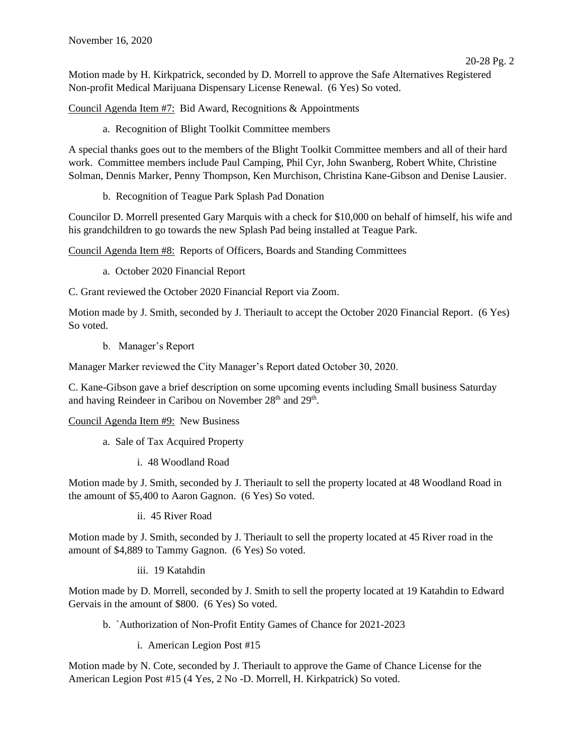Motion made by H. Kirkpatrick, seconded by D. Morrell to approve the Safe Alternatives Registered Non-profit Medical Marijuana Dispensary License Renewal. (6 Yes) So voted.

Council Agenda Item #7: Bid Award, Recognitions & Appointments

a. Recognition of Blight Toolkit Committee members

A special thanks goes out to the members of the Blight Toolkit Committee members and all of their hard work. Committee members include Paul Camping, Phil Cyr, John Swanberg, Robert White, Christine Solman, Dennis Marker, Penny Thompson, Ken Murchison, Christina Kane-Gibson and Denise Lausier.

b. Recognition of Teague Park Splash Pad Donation

Councilor D. Morrell presented Gary Marquis with a check for \$10,000 on behalf of himself, his wife and his grandchildren to go towards the new Splash Pad being installed at Teague Park.

Council Agenda Item #8: Reports of Officers, Boards and Standing Committees

- a. October 2020 Financial Report
- C. Grant reviewed the October 2020 Financial Report via Zoom.

Motion made by J. Smith, seconded by J. Theriault to accept the October 2020 Financial Report. (6 Yes) So voted.

b. Manager's Report

Manager Marker reviewed the City Manager's Report dated October 30, 2020.

C. Kane-Gibson gave a brief description on some upcoming events including Small business Saturday and having Reindeer in Caribou on November 28<sup>th</sup> and 29<sup>th</sup>.

Council Agenda Item #9: New Business

- a. Sale of Tax Acquired Property
	- i. 48 Woodland Road

Motion made by J. Smith, seconded by J. Theriault to sell the property located at 48 Woodland Road in the amount of \$5,400 to Aaron Gagnon. (6 Yes) So voted.

ii. 45 River Road

Motion made by J. Smith, seconded by J. Theriault to sell the property located at 45 River road in the amount of \$4,889 to Tammy Gagnon. (6 Yes) So voted.

iii. 19 Katahdin

Motion made by D. Morrell, seconded by J. Smith to sell the property located at 19 Katahdin to Edward Gervais in the amount of \$800. (6 Yes) So voted.

- b. `Authorization of Non-Profit Entity Games of Chance for 2021-2023
	- i. American Legion Post #15

Motion made by N. Cote, seconded by J. Theriault to approve the Game of Chance License for the American Legion Post #15 (4 Yes, 2 No -D. Morrell, H. Kirkpatrick) So voted.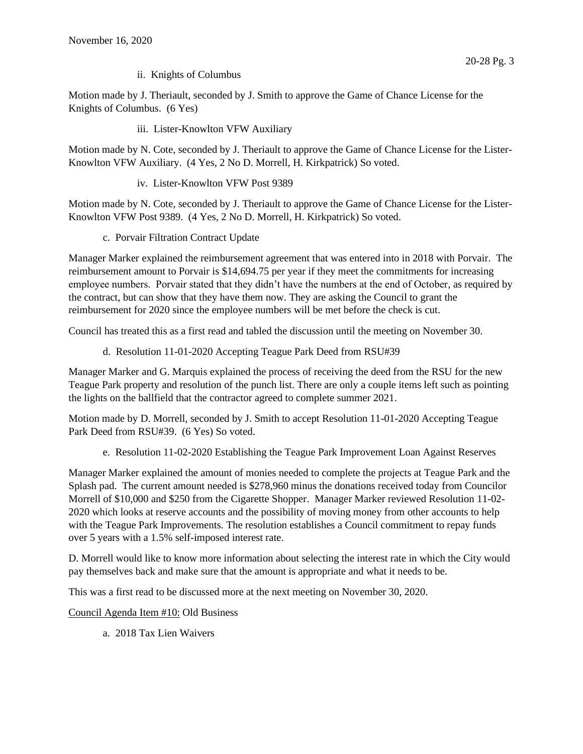ii. Knights of Columbus

Motion made by J. Theriault, seconded by J. Smith to approve the Game of Chance License for the Knights of Columbus. (6 Yes)

iii. Lister-Knowlton VFW Auxiliary

Motion made by N. Cote, seconded by J. Theriault to approve the Game of Chance License for the Lister-Knowlton VFW Auxiliary. (4 Yes, 2 No D. Morrell, H. Kirkpatrick) So voted.

iv. Lister-Knowlton VFW Post 9389

Motion made by N. Cote, seconded by J. Theriault to approve the Game of Chance License for the Lister-Knowlton VFW Post 9389. (4 Yes, 2 No D. Morrell, H. Kirkpatrick) So voted.

c. Porvair Filtration Contract Update

Manager Marker explained the reimbursement agreement that was entered into in 2018 with Porvair. The reimbursement amount to Porvair is \$14,694.75 per year if they meet the commitments for increasing employee numbers. Porvair stated that they didn't have the numbers at the end of October, as required by the contract, but can show that they have them now. They are asking the Council to grant the reimbursement for 2020 since the employee numbers will be met before the check is cut.

Council has treated this as a first read and tabled the discussion until the meeting on November 30.

d. Resolution 11-01-2020 Accepting Teague Park Deed from RSU#39

Manager Marker and G. Marquis explained the process of receiving the deed from the RSU for the new Teague Park property and resolution of the punch list. There are only a couple items left such as pointing the lights on the ballfield that the contractor agreed to complete summer 2021.

Motion made by D. Morrell, seconded by J. Smith to accept Resolution 11-01-2020 Accepting Teague Park Deed from RSU#39. (6 Yes) So voted.

e. Resolution 11-02-2020 Establishing the Teague Park Improvement Loan Against Reserves

Manager Marker explained the amount of monies needed to complete the projects at Teague Park and the Splash pad. The current amount needed is \$278,960 minus the donations received today from Councilor Morrell of \$10,000 and \$250 from the Cigarette Shopper. Manager Marker reviewed Resolution 11-02- 2020 which looks at reserve accounts and the possibility of moving money from other accounts to help with the Teague Park Improvements. The resolution establishes a Council commitment to repay funds over 5 years with a 1.5% self-imposed interest rate.

D. Morrell would like to know more information about selecting the interest rate in which the City would pay themselves back and make sure that the amount is appropriate and what it needs to be.

This was a first read to be discussed more at the next meeting on November 30, 2020.

Council Agenda Item #10: Old Business

a. 2018 Tax Lien Waivers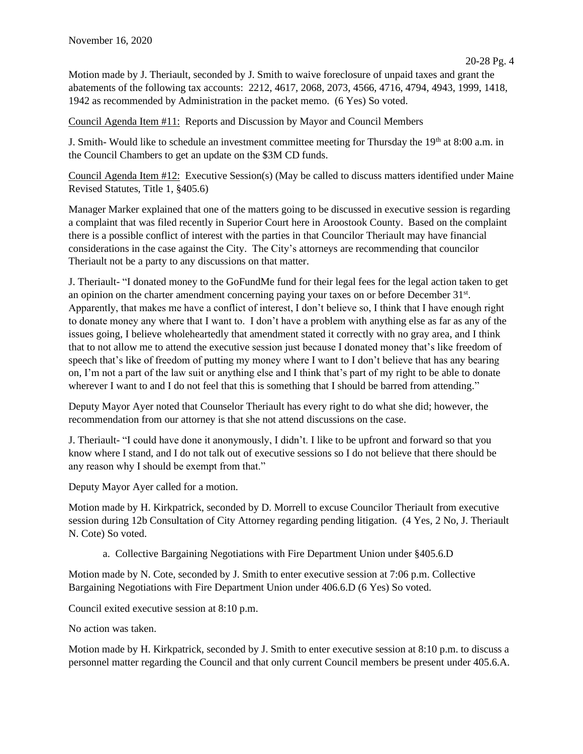Motion made by J. Theriault, seconded by J. Smith to waive foreclosure of unpaid taxes and grant the abatements of the following tax accounts: 2212, 4617, 2068, 2073, 4566, 4716, 4794, 4943, 1999, 1418, 1942 as recommended by Administration in the packet memo. (6 Yes) So voted.

Council Agenda Item #11: Reports and Discussion by Mayor and Council Members

J. Smith- Would like to schedule an investment committee meeting for Thursday the  $19<sup>th</sup>$  at  $8:00$  a.m. in the Council Chambers to get an update on the \$3M CD funds.

Council Agenda Item #12: Executive Session(s) (May be called to discuss matters identified under Maine Revised Statutes, Title 1, §405.6)

Manager Marker explained that one of the matters going to be discussed in executive session is regarding a complaint that was filed recently in Superior Court here in Aroostook County. Based on the complaint there is a possible conflict of interest with the parties in that Councilor Theriault may have financial considerations in the case against the City. The City's attorneys are recommending that councilor Theriault not be a party to any discussions on that matter.

J. Theriault- "I donated money to the GoFundMe fund for their legal fees for the legal action taken to get an opinion on the charter amendment concerning paying your taxes on or before December 31<sup>st</sup>. Apparently, that makes me have a conflict of interest, I don't believe so, I think that I have enough right to donate money any where that I want to. I don't have a problem with anything else as far as any of the issues going, I believe wholeheartedly that amendment stated it correctly with no gray area, and I think that to not allow me to attend the executive session just because I donated money that's like freedom of speech that's like of freedom of putting my money where I want to I don't believe that has any bearing on, I'm not a part of the law suit or anything else and I think that's part of my right to be able to donate wherever I want to and I do not feel that this is something that I should be barred from attending."

Deputy Mayor Ayer noted that Counselor Theriault has every right to do what she did; however, the recommendation from our attorney is that she not attend discussions on the case.

J. Theriault- "I could have done it anonymously, I didn't. I like to be upfront and forward so that you know where I stand, and I do not talk out of executive sessions so I do not believe that there should be any reason why I should be exempt from that."

Deputy Mayor Ayer called for a motion.

Motion made by H. Kirkpatrick, seconded by D. Morrell to excuse Councilor Theriault from executive session during 12b Consultation of City Attorney regarding pending litigation. (4 Yes, 2 No, J. Theriault N. Cote) So voted.

a. Collective Bargaining Negotiations with Fire Department Union under §405.6.D

Motion made by N. Cote, seconded by J. Smith to enter executive session at 7:06 p.m. Collective Bargaining Negotiations with Fire Department Union under 406.6.D (6 Yes) So voted.

Council exited executive session at 8:10 p.m.

No action was taken.

Motion made by H. Kirkpatrick, seconded by J. Smith to enter executive session at 8:10 p.m. to discuss a personnel matter regarding the Council and that only current Council members be present under 405.6.A.